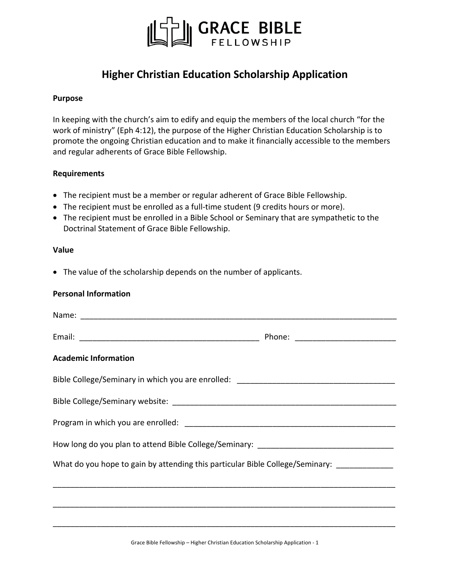

# **Higher Christian Education Scholarship Application**

### **Purpose**

In keeping with the church's aim to edify and equip the members of the local church "for the work of ministry" (Eph 4:12), the purpose of the Higher Christian Education Scholarship is to promote the ongoing Christian education and to make it financially accessible to the members and regular adherents of Grace Bible Fellowship.

### **Requirements**

- The recipient must be a member or regular adherent of Grace Bible Fellowship.
- The recipient must be enrolled as a full-time student (9 credits hours or more).
- The recipient must be enrolled in a Bible School or Seminary that are sympathetic to the Doctrinal Statement of Grace Bible Fellowship.

### **Value**

• The value of the scholarship depends on the number of applicants.

## **Personal Information**

| Name: Name:                                                                                 |  |  |
|---------------------------------------------------------------------------------------------|--|--|
|                                                                                             |  |  |
| <b>Academic Information</b>                                                                 |  |  |
| Bible College/Seminary in which you are enrolled: _______________________________           |  |  |
|                                                                                             |  |  |
|                                                                                             |  |  |
|                                                                                             |  |  |
| What do you hope to gain by attending this particular Bible College/Seminary: _____________ |  |  |
|                                                                                             |  |  |
|                                                                                             |  |  |
|                                                                                             |  |  |